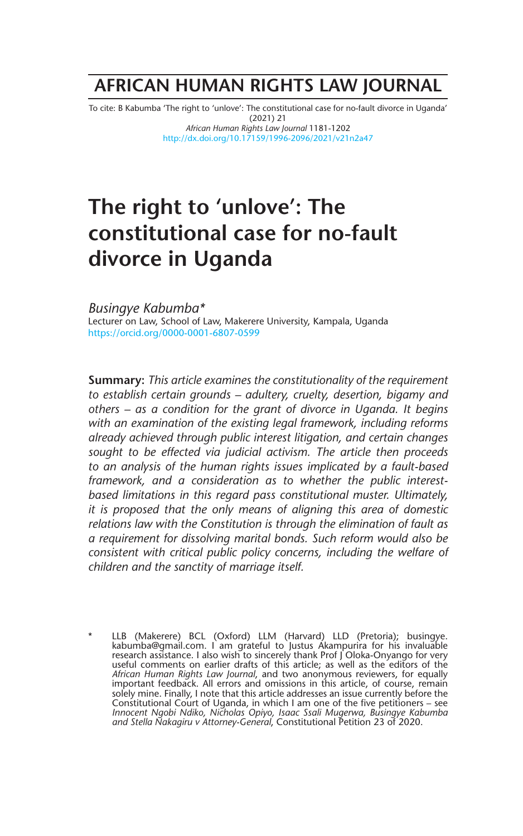# **AFRICAN HUMAN RIGHTS LAW JOURNAL**

To cite: B Kabumba 'The right to 'unlove': The constitutional case for no-fault divorce in Uganda' (2021) 21 *African Human Rights Law Journal* 1181-1202 http://dx.doi.org/10.17159/1996-2096/2021/v21n2a47

# **The right to 'unlove': The constitutional case for no-fault divorce in Uganda**

*Busingye Kabumba\**  Lecturer on Law, School of Law, Makerere University, Kampala, Uganda https://orcid.org/0000-0001-6807-0599

**Summary:** *This article examines the constitutionality of the requirement to establish certain grounds – adultery, cruelty, desertion, bigamy and others – as a condition for the grant of divorce in Uganda. It begins with an examination of the existing legal framework, including reforms already achieved through public interest litigation, and certain changes sought to be effected via judicial activism. The article then proceeds to an analysis of the human rights issues implicated by a fault-based framework, and a consideration as to whether the public interestbased limitations in this regard pass constitutional muster. Ultimately, it is proposed that the only means of aligning this area of domestic relations law with the Constitution is through the elimination of fault as a requirement for dissolving marital bonds. Such reform would also be consistent with critical public policy concerns, including the welfare of children and the sanctity of marriage itself.* 

\* LLB (Makerere) BCL (Oxford) LLM (Harvard) LLD (Pretoria); busingye. kabumba@gmail.com. I am grateful to Justus Akampurira for his invaluable research assistance. I also wish to sincerely thank Prof J Oloka-Onyango for very useful comments on earlier drafts of this article; as well as the editors of the *African Human Rights Law Journal*, and two anonymous reviewers, for equally important feedback. All errors and omissions in this article, of course, remain solely mine. Finally, I note that this article addresses an issue currently before the Constitutional Court of Uganda, in which I am one of the five petitioners – see *Innocent Ngobi Ndiko, Nicholas Opiyo, Isaac Ssali Mugerwa, Busingye Kabumba and Stella Nakagiru v Attorney-General*, Constitutional Petition 23 of 2020.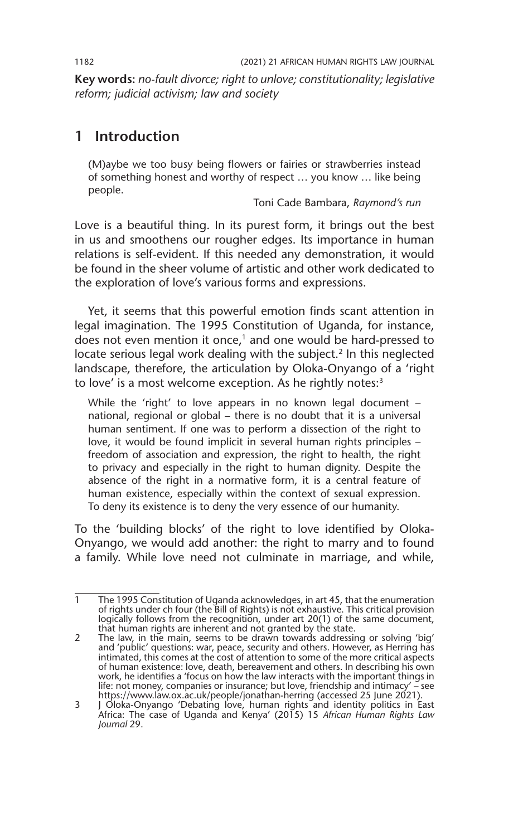**Key words:** *no-fault divorce; right to unlove; constitutionality; legislative reform; judicial activism; law and society*

# **1 Introduction**

(M)aybe we too busy being flowers or fairies or strawberries instead of something honest and worthy of respect … you know … like being people.

Toni Cade Bambara, *Raymond's run*

Love is a beautiful thing. In its purest form, it brings out the best in us and smoothens our rougher edges. Its importance in human relations is self-evident. If this needed any demonstration, it would be found in the sheer volume of artistic and other work dedicated to the exploration of love's various forms and expressions.

Yet, it seems that this powerful emotion finds scant attention in legal imagination. The 1995 Constitution of Uganda, for instance, does not even mention it once,<sup>1</sup> and one would be hard-pressed to locate serious legal work dealing with the subject.<sup>2</sup> In this neglected landscape, therefore, the articulation by Oloka-Onyango of a 'right to love' is a most welcome exception. As he rightly notes:<sup>3</sup>

While the 'right' to love appears in no known legal document national, regional or global – there is no doubt that it is a universal human sentiment. If one was to perform a dissection of the right to love, it would be found implicit in several human rights principles – freedom of association and expression, the right to health, the right to privacy and especially in the right to human dignity. Despite the absence of the right in a normative form, it is a central feature of human existence, especially within the context of sexual expression. To deny its existence is to deny the very essence of our humanity.

To the 'building blocks' of the right to love identified by Oloka-Onyango, we would add another: the right to marry and to found a family. While love need not culminate in marriage, and while,

<sup>1</sup> The 1995 Constitution of Uganda acknowledges, in art 45, that the enumeration of rights under ch four (the Bill of Rights) is not exhaustive. This critical provision logically follows from the recognition, under art 20(1) of the same document, that human rights are inherent and not granted by the state.

<sup>2</sup> The law, in the main, seems to be drawn towards addressing or solving 'big' and 'public' questions: war, peace, security and others. However, as Herring has intimated, this comes at the cost of attention to some of the more critical aspects of human existence: love, death, bereavement and others. In describing his own work, he identifies a 'focus on how the law interacts with the important things in life: not money, companies or insurance; but love, friendship and intimacy' – see https://www.law.ox.ac.uk/people/jonathan-herring (accessed 25 June 2021).

<sup>3</sup> J Oloka-Onyango 'Debating love, human rights and identity politics in East Africa: The case of Uganda and Kenya' (2015) 15 *African Human Rights Law Journal* 29.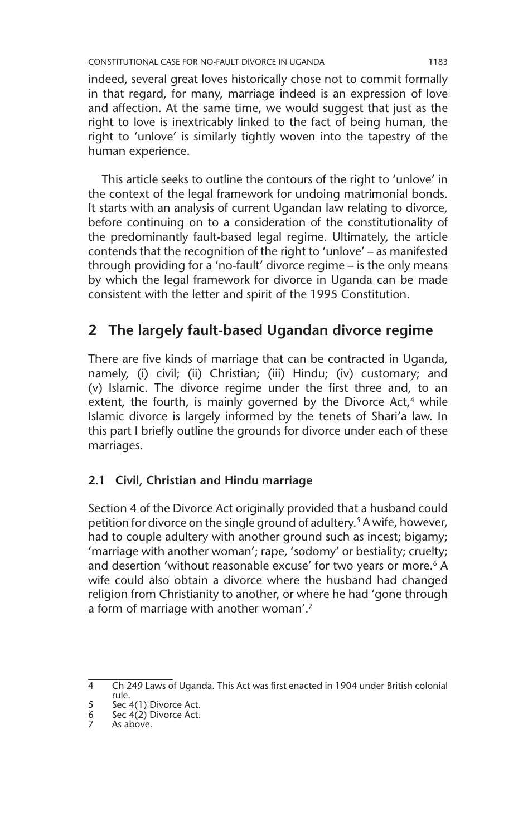indeed, several great loves historically chose not to commit formally in that regard, for many, marriage indeed is an expression of love and affection. At the same time, we would suggest that just as the right to love is inextricably linked to the fact of being human, the right to 'unlove' is similarly tightly woven into the tapestry of the human experience.

This article seeks to outline the contours of the right to 'unlove' in the context of the legal framework for undoing matrimonial bonds. It starts with an analysis of current Ugandan law relating to divorce, before continuing on to a consideration of the constitutionality of the predominantly fault-based legal regime. Ultimately, the article contends that the recognition of the right to 'unlove' – as manifested through providing for a 'no-fault' divorce regime – is the only means by which the legal framework for divorce in Uganda can be made consistent with the letter and spirit of the 1995 Constitution.

# **2 The largely fault-based Ugandan divorce regime**

There are five kinds of marriage that can be contracted in Uganda, namely, (i) civil; (ii) Christian; (iii) Hindu; (iv) customary; and (v) Islamic. The divorce regime under the first three and, to an extent, the fourth, is mainly governed by the Divorce Act, $4$  while Islamic divorce is largely informed by the tenets of Shari'a law. In this part I briefly outline the grounds for divorce under each of these marriages.

# **2.1 Civil, Christian and Hindu marriage**

Section 4 of the Divorce Act originally provided that a husband could petition for divorce on the single ground of adultery.<sup>5</sup> A wife, however, had to couple adultery with another ground such as incest; bigamy; 'marriage with another woman'; rape, 'sodomy' or bestiality; cruelty; and desertion 'without reasonable excuse' for two years or more.<sup>6</sup> A wife could also obtain a divorce where the husband had changed religion from Christianity to another, or where he had 'gone through a form of marriage with another woman'.7

<sup>4</sup> Ch 249 Laws of Uganda. This Act was first enacted in 1904 under British colonial rule.

<sup>5</sup> Sec 4(1) Divorce Act. 6 Sec 4(2) Divorce Act.

<sup>6</sup> Sec  $4(2)$  I<br>7 As above.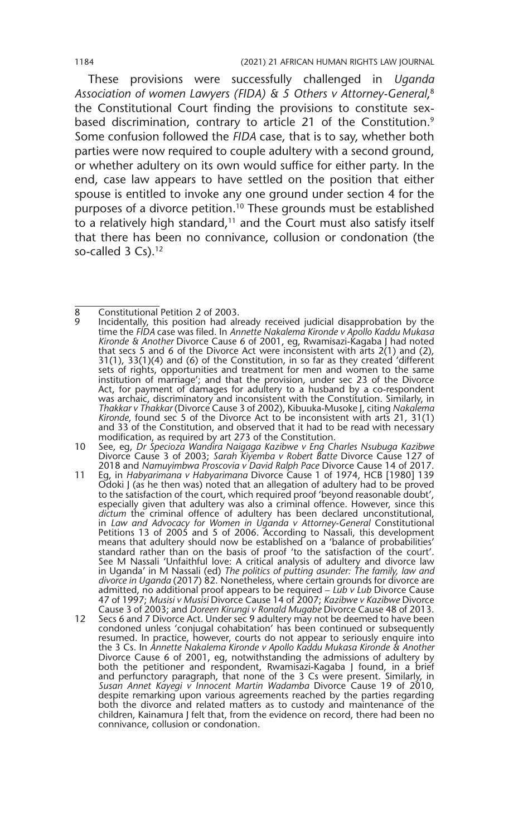These provisions were successfully challenged in *Uganda Association of women Lawyers (FIDA) & 5 Others v Attorney-General*, 8 the Constitutional Court finding the provisions to constitute sexbased discrimination, contrary to article 21 of the Constitution.<sup>9</sup> Some confusion followed the *FIDA* case, that is to say, whether both parties were now required to couple adultery with a second ground, or whether adultery on its own would suffice for either party. In the end, case law appears to have settled on the position that either spouse is entitled to invoke any one ground under section 4 for the purposes of a divorce petition.10 These grounds must be established to a relatively high standard, $11$  and the Court must also satisfy itself that there has been no connivance, collusion or condonation (the so-called 3 Cs).<sup>12</sup>

- 10 See, eg, *Dr Specioza Wandira Naigaga Kazibwe v Eng Charles Nsubuga Kazibwe*  Divorce Cause 3 of 2003; *Sarah Kiyemba v Robert Batte* Divorce Cause 127 of 2018 and *Namuyimbwa Proscovia v David Ralph Pace* Divorce Cause 14 of 2017.
- 11 Eg, in *Habyarimana v Habyarimana* Divorce Cause 1 of 1974, HCB [1980] 139 Odoki J (as he then was) noted that an allegation of adultery had to be proved to the satisfaction of the court, which required proof 'beyond reasonable doubt', especially given that adultery was also a criminal offence. However, since this *dictum* the criminal offence of adultery has been declared unconstitutional, in *Law and Advocacy for Women in Uganda v Attorney-General* Constitutional Petitions 13 of 2005 and 5 of 2006. According to Nassali, this development means that adultery should now be established on a 'balance of probabilities' standard rather than on the basis of proof 'to the satisfaction of the court'. See M Nassali 'Unfaithful love: A critical analysis of adultery and divorce law in Uganda' in M Nassali (ed) *The politics of putting asunder: The family, law and divorce in Uganda* (2017) 82. Nonetheless, where certain grounds for divorce are admitted, no additional proof appears to be required – *Lub v Lub* Divorce Cause 47 of 1997; *Musisi v Musisi* Divorce Cause 14 of 2007; *Kazibwe v Kazibwe* Divorce Cause 3 of 2003; and *Doreen Kirungi v Ronald Mugabe* Divorce Cause 48 of 2013.
- 12 Secs 6 and 7 Divorce Act. Under sec 9 adultery may not be deemed to have been condoned unless 'conjugal cohabitation' has been continued or subsequently resumed. In practice, however, courts do not appear to seriously enquire into the 3 Cs. In *Annette Nakalema Kironde v Apollo Kaddu Mukasa Kironde & Another*  Divorce Cause 6 of 2001, eg, notwithstanding the admissions of adultery by both the petitioner and respondent, Rwamisazi-Kagaba J found, in a brief and perfunctory paragraph, that none of the 3 Cs were present. Similarly, in *Susan Annet Kayegi v Innocent Martin Wadamba* Divorce Cause 19 of 2010, despite remarking upon various agreements reached by the parties regarding both the divorce and related matters as to custody and maintenance of the children, Kainamura J felt that, from the evidence on record, there had been no connivance, collusion or condonation.

<sup>8</sup> Constitutional Petition 2 of 2003.

Incidentally, this position had already received judicial disapprobation by the time the *FIDA* case was filed. In *Annette Nakalema Kironde v Apollo Kaddu Mukasa Kironde & Another* Divorce Cause 6 of 2001, eg, Rwamisazi-Kagaba J had noted that secs 5 and 6 of the Divorce Act were inconsistent with arts  $2(1)$  and (2), 31(1), 33(1)(4) and (6) of the Constitution, in so far as they created 'different sets of rights, opportunities and treatment for men and women to the same institution of marriage'; and that the provision, under sec 23 of the Divorce Act, for payment of damages for adultery to a husband by a co-respondent was archaic, discriminatory and inconsistent with the Constitution. Similarly, in *Thakkar v Thakkar* (Divorce Cause 3 of 2002), Kibuuka-Musoke J, citing *Nakalema Kironde*, found sec 5 of the Divorce Act to be inconsistent with arts 21, 31(1) and 33 of the Constitution, and observed that it had to be read with necessary modification, as required by art 273 of the Constitution.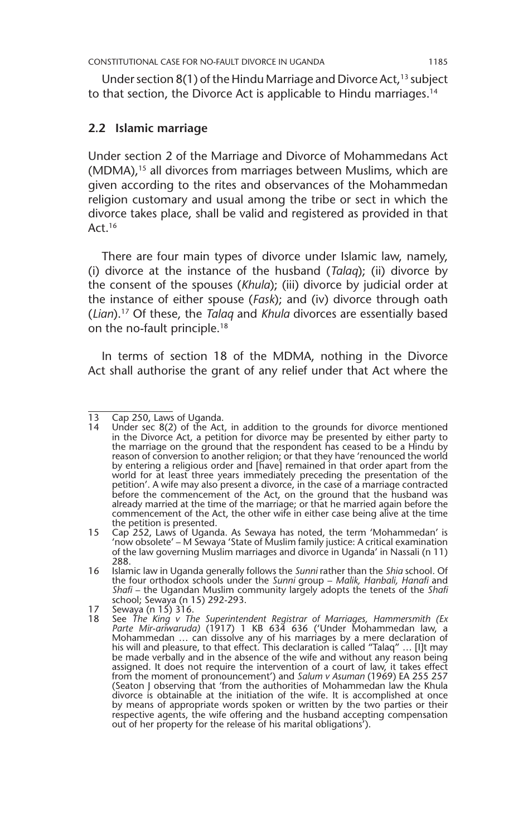Under section  $8(1)$  of the Hindu Marriage and Divorce Act,<sup>13</sup> subject to that section, the Divorce Act is applicable to Hindu marriages.14

#### **2.2 Islamic marriage**

Under section 2 of the Marriage and Divorce of Mohammedans Act (MDMA),<sup>15</sup> all divorces from marriages between Muslims, which are given according to the rites and observances of the Mohammedan religion customary and usual among the tribe or sect in which the divorce takes place, shall be valid and registered as provided in that Act.16

There are four main types of divorce under Islamic law, namely, (i) divorce at the instance of the husband (*Talaq*); (ii) divorce by the consent of the spouses (*Khula*); (iii) divorce by judicial order at the instance of either spouse (*Fask*); and (iv) divorce through oath (*Lian*).17 Of these, the *Talaq* and *Khula* divorces are essentially based on the no-fault principle.<sup>18</sup>

In terms of section 18 of the MDMA, nothing in the Divorce Act shall authorise the grant of any relief under that Act where the

<sup>13</sup> Cap 250, Laws of Uganda.<br>14 Under sec 8(2) of the Act

Under sec 8(2) of the Act, in addition to the grounds for divorce mentioned in the Divorce Act, a petition for divorce may be presented by either party to the marriage on the ground that the respondent has ceased to be a Hindu by reason of conversion to another religion; or that they have 'renounced the world by entering a religious order and [have] remained in that order apart from the world for at least three years immediately preceding the presentation of the petition'. A wife may also present a divorce, in the case of a marriage contracted before the commencement of the Act, on the ground that the husband was already married at the time of the marriage; or that he married again before the commencement of the Act, the other wife in either case being alive at the time the petition is presented.

<sup>15</sup> Cap 252, Laws of Uganda. As Sewaya has noted, the term 'Mohammedan' is 'now obsolete' – M Sewaya 'State of Muslim family justice: A critical examination of the law governing Muslim marriages and divorce in Uganda' in Nassali (n 11) 288.

<sup>16</sup> Islamic law in Uganda generally follows the *Sunni* rather than the *Shia* school. Of the four orthodox schools under the *Sunni* group – *Malik, Hanbali, Hanafi* and *Shafi* – the Ugandan Muslim community largely adopts the tenets of the *Shafi*  school; Sewaya (n 15) 292-293.

<sup>17</sup> Sewaya (n 15) 316.<br>18 See The King v Th

<sup>18</sup> See *The King v The Superintendent Registrar of Marriages, Hammersmith (Ex Parte Mir-ariwaruda)* (1917) 1 KB 634 636 ('Under Mohammedan law, a Mohammedan … can dissolve any of his marriages by a mere declaration of his will and pleasure, to that effect. This declaration is called "Talaq" … [I]t may be made verbally and in the absence of the wife and without any reason being assigned. It does not require the intervention of a court of law, it takes effect from the moment of pronouncement') and *Salum v Asuman* (1969) EA 255 257 (Seaton J observing that 'from the authorities of Mohammedan law the Khula divorce is obtainable at the initiation of the wife. It is accomplished at once by means of appropriate words spoken or written by the two parties or their respective agents, the wife offering and the husband accepting compensation out of her property for the release of his marital obligations').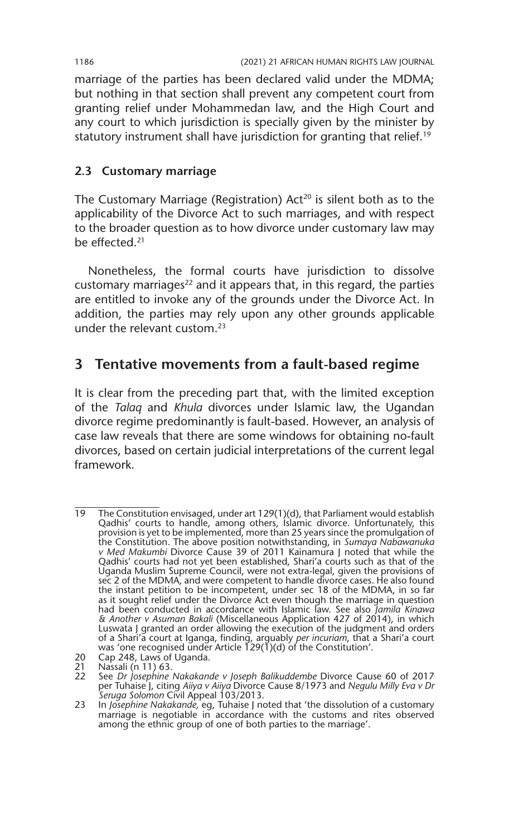marriage of the parties has been declared valid under the MDMA; but nothing in that section shall prevent any competent court from granting relief under Mohammedan law, and the High Court and any court to which jurisdiction is specially given by the minister by statutory instrument shall have jurisdiction for granting that relief.<sup>19</sup>

### **2.3 Customary marriage**

The Customary Marriage (Registration)  $Act^{20}$  is silent both as to the applicability of the Divorce Act to such marriages, and with respect to the broader question as to how divorce under customary law may be effected.21

Nonetheless, the formal courts have jurisdiction to dissolve customary marriages $^{22}$  and it appears that, in this regard, the parties are entitled to invoke any of the grounds under the Divorce Act. In addition, the parties may rely upon any other grounds applicable under the relevant custom.23

# **3 Tentative movements from a fault-based regime**

It is clear from the preceding part that, with the limited exception of the *Talaq* and *Khula* divorces under Islamic law, the Ugandan divorce regime predominantly is fault-based. However, an analysis of case law reveals that there are some windows for obtaining no-fault divorces, based on certain judicial interpretations of the current legal framework.

20 Cap 248, Laws of Uganda.<br>21 Nassali (n 11) 63.

<sup>19</sup> The Constitution envisaged, under art 129(1)(d), that Parliament would establish Qadhis' courts to handle, among others, Islamic divorce. Unfortunately, this provision is yet to be implemented, more than 25 years since the promulgation of the Constitution. The above position notwithstanding, in *Sumaya Nabawanuka v Med Makumbi* Divorce Cause 39 of 2011 Kainamura J noted that while the Qadhis' courts had not yet been established, Shari'a courts such as that of the Uganda Muslim Supreme Council, were not extra-legal, given the provisions of sec 2 of the MDMA, and were competent to handle divorce cases. He also found the instant petition to be incompetent, under sec 18 of the MDMA, in so far as it sought relief under the Divorce Act even though the marriage in question had been conducted in accordance with Islamic law. See also *Jamila Kinawa & Another v Asuman Bakali* (Miscellaneous Application 427 of 2014), in which Luswata J granted an order allowing the execution of the judgment and orders of a Shari'a court at Iganga, finding, arguably *per incuriam*, that a Shari'a court was 'one recognised under Article 129(1)(d) of the Constitution'.

<sup>21</sup> Nassali (n 11) 63.<br>22 See Dr losephine

<sup>22</sup> See *Dr Josephine Nakakande v Joseph Balikuddembe* Divorce Cause 60 of 2017<br>per Tuhaise J, citing Aiiya v Aiiya Divorce Cause 8/1973 and N*egulu Milly Eva v Dr*<br>S*eruga Solomon* Civil Appeal 103/2013.

<sup>23</sup> In *Josephine Nakakande,* eg, Tuhaise J noted that 'the dissolution of a customary marriage is negotiable in accordance with the customs and rites observed among the ethnic group of one of both parties to the marriage'.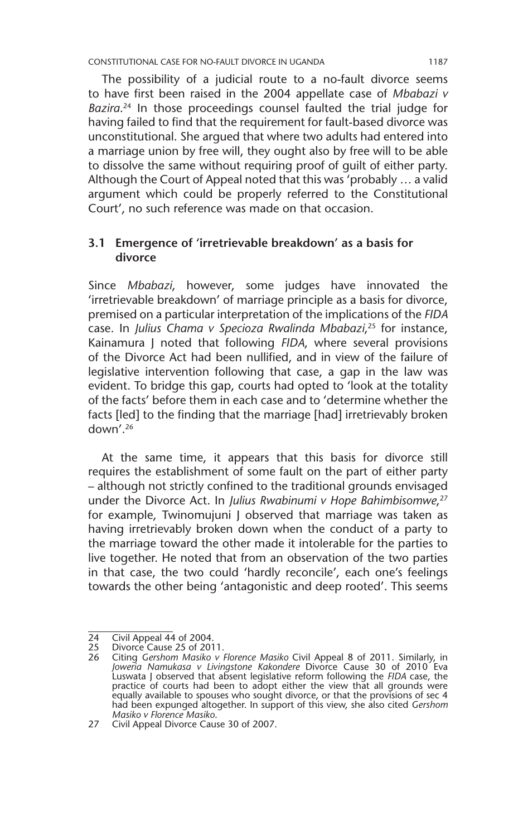CONSTITUTIONAL CASE FOR NO-FAULT DIVORCE IN UGANDA 1187

The possibility of a judicial route to a no-fault divorce seems to have first been raised in the 2004 appellate case of *Mbabazi v Bazira*. 24 In those proceedings counsel faulted the trial judge for having failed to find that the requirement for fault-based divorce was unconstitutional. She argued that where two adults had entered into a marriage union by free will, they ought also by free will to be able to dissolve the same without requiring proof of guilt of either party. Although the Court of Appeal noted that this was 'probably … a valid argument which could be properly referred to the Constitutional Court', no such reference was made on that occasion.

#### **3.1 Emergence of 'irretrievable breakdown' as a basis for divorce**

Since *Mbabazi*, however, some judges have innovated the 'irretrievable breakdown' of marriage principle as a basis for divorce, premised on a particular interpretation of the implications of the *FIDA* case. In *Julius Chama v Specioza Rwalinda Mbabazi*, 25 for instance, Kainamura J noted that following *FIDA*, where several provisions of the Divorce Act had been nullified, and in view of the failure of legislative intervention following that case, a gap in the law was evident. To bridge this gap, courts had opted to 'look at the totality of the facts' before them in each case and to 'determine whether the facts [led] to the finding that the marriage [had] irretrievably broken down'.26

At the same time, it appears that this basis for divorce still requires the establishment of some fault on the part of either party – although not strictly confined to the traditional grounds envisaged under the Divorce Act. In *Julius Rwabinumi v Hope Bahimbisomwe*, 27 for example, Twinomujuni J observed that marriage was taken as having irretrievably broken down when the conduct of a party to the marriage toward the other made it intolerable for the parties to live together. He noted that from an observation of the two parties in that case, the two could 'hardly reconcile', each one's feelings towards the other being 'antagonistic and deep rooted'. This seems

<sup>24</sup> Civil Appeal 44 of 2004.<br>25 Divorce Cause 25 of 201

<sup>25</sup> Divorce Cause 25 of 2011.<br>26 Citing Gershom Masiko v

<sup>26</sup> Citing *Gershom Masiko v Florence Masiko* Civil Appeal 8 of 2011. Similarly, in *Joweria Namukasa v Livingstone Kakondere* Divorce Cause 30 of 2010 Eva Luswata J observed that absent legislative reform following the *FIDA* case, the practice of courts had been to adopt either the view that all grounds were equally available to spouses who sought divorce, or that the provisions of sec 4 had been expunged altogether. In support of this view, she also cited *Gershom Masiko v Florence Masiko*.

<sup>27</sup> Civil Appeal Divorce Cause 30 of 2007.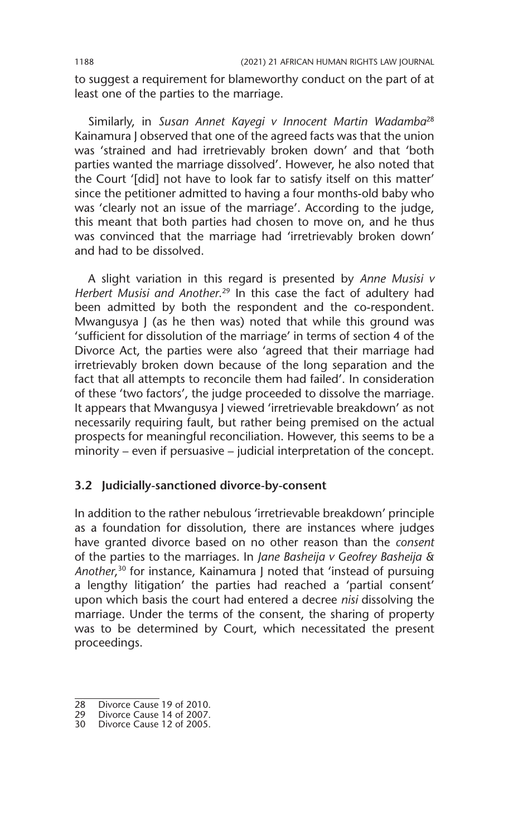to suggest a requirement for blameworthy conduct on the part of at least one of the parties to the marriage.

Similarly, in *Susan Annet Kayegi v Innocent Martin Wadamba*<sup>28</sup> Kainamura J observed that one of the agreed facts was that the union was 'strained and had irretrievably broken down' and that 'both parties wanted the marriage dissolved'. However, he also noted that the Court '[did] not have to look far to satisfy itself on this matter' since the petitioner admitted to having a four months-old baby who was 'clearly not an issue of the marriage'. According to the judge, this meant that both parties had chosen to move on, and he thus was convinced that the marriage had 'irretrievably broken down' and had to be dissolved.

A slight variation in this regard is presented by *Anne Musisi v Herbert Musisi and Another*. 29 In this case the fact of adultery had been admitted by both the respondent and the co-respondent. Mwangusya J (as he then was) noted that while this ground was 'sufficient for dissolution of the marriage' in terms of section 4 of the Divorce Act, the parties were also 'agreed that their marriage had irretrievably broken down because of the long separation and the fact that all attempts to reconcile them had failed'. In consideration of these 'two factors', the judge proceeded to dissolve the marriage. It appears that Mwangusya J viewed 'irretrievable breakdown' as not necessarily requiring fault, but rather being premised on the actual prospects for meaningful reconciliation. However, this seems to be a minority – even if persuasive – judicial interpretation of the concept.

#### **3.2 Judicially-sanctioned divorce-by-consent**

In addition to the rather nebulous 'irretrievable breakdown' principle as a foundation for dissolution, there are instances where judges have granted divorce based on no other reason than the *consent*  of the parties to the marriages. In *Jane Basheija v Geofrey Basheija & Another*, 30 for instance, Kainamura J noted that 'instead of pursuing a lengthy litigation' the parties had reached a 'partial consent' upon which basis the court had entered a decree *nisi* dissolving the marriage. Under the terms of the consent, the sharing of property was to be determined by Court, which necessitated the present proceedings.

<sup>28</sup> Divorce Cause 19 of 2010.

<sup>29</sup> Divorce Cause 14 of 2007.

<sup>30</sup> Divorce Cause 12 of 2005.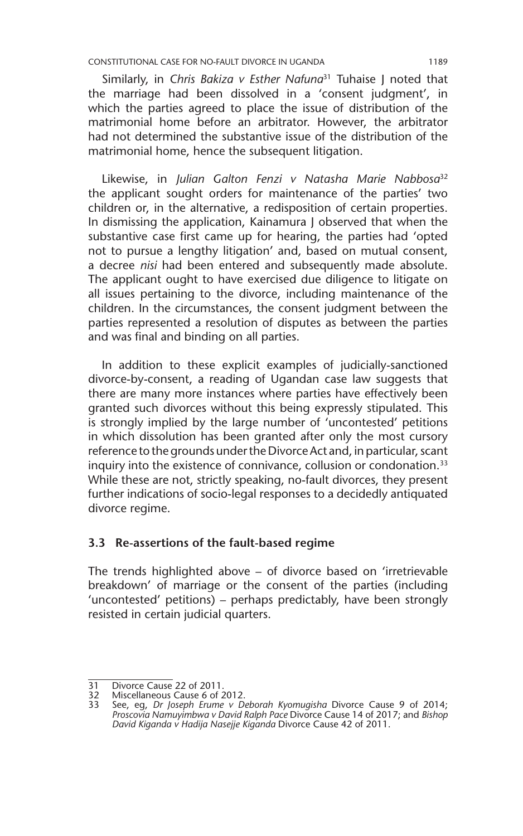CONSTITUTIONAL CASE FOR NO-FAULT DIVORCE IN UGANDA 1189

Similarly, in *Chris Bakiza v Esther Nafuna*<sup>31</sup> Tuhaise J noted that the marriage had been dissolved in a 'consent judgment', in which the parties agreed to place the issue of distribution of the matrimonial home before an arbitrator. However, the arbitrator had not determined the substantive issue of the distribution of the matrimonial home, hence the subsequent litigation.

Likewise, in *Julian Galton Fenzi v Natasha Marie Nabbosa*<sup>32</sup> the applicant sought orders for maintenance of the parties' two children or, in the alternative, a redisposition of certain properties. In dismissing the application, Kainamura J observed that when the substantive case first came up for hearing, the parties had 'opted not to pursue a lengthy litigation' and, based on mutual consent, a decree *nisi* had been entered and subsequently made absolute. The applicant ought to have exercised due diligence to litigate on all issues pertaining to the divorce, including maintenance of the children. In the circumstances, the consent judgment between the parties represented a resolution of disputes as between the parties and was final and binding on all parties.

In addition to these explicit examples of judicially-sanctioned divorce-by-consent, a reading of Ugandan case law suggests that there are many more instances where parties have effectively been granted such divorces without this being expressly stipulated. This is strongly implied by the large number of 'uncontested' petitions in which dissolution has been granted after only the most cursory reference to the grounds under the Divorce Act and, in particular, scant inquiry into the existence of connivance, collusion or condonation.<sup>33</sup> While these are not, strictly speaking, no-fault divorces, they present further indications of socio-legal responses to a decidedly antiquated divorce regime.

#### **3.3 Re-assertions of the fault-based regime**

The trends highlighted above – of divorce based on 'irretrievable breakdown' of marriage or the consent of the parties (including 'uncontested' petitions) – perhaps predictably, have been strongly resisted in certain judicial quarters.

<sup>31</sup> Divorce Cause 22 of 2011.

<sup>32</sup> Miscellaneous Cause 6 of 2012.<br>33 See, eq. Dr Joseph Erume v De

<sup>33</sup> See, eg, *Dr Joseph Erume v Deborah Kyomugisha* Divorce Cause 9 of 2014; *Proscovia Namuyimbwa v David Ralph Pace* Divorce Cause 14 of 2017; and *Bishop David Kiganda v Hadija Nasejje Kiganda* Divorce Cause 42 of 2011.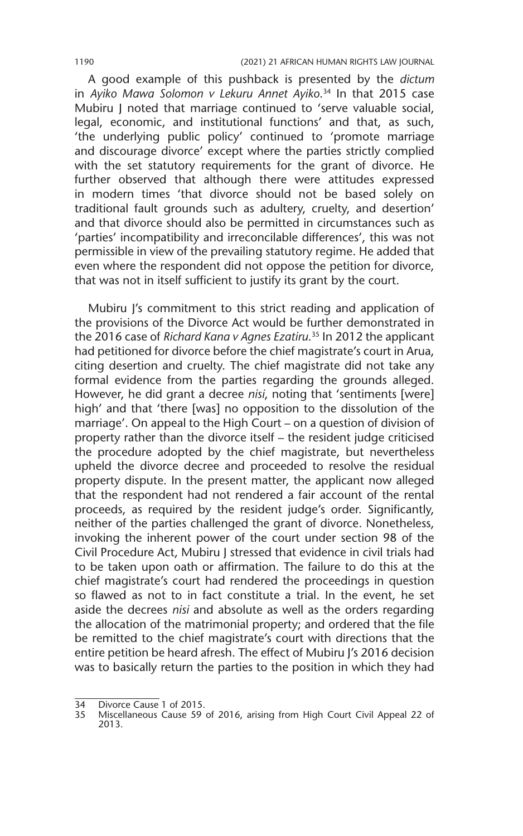A good example of this pushback is presented by the *dictum* in *Ayiko Mawa Solomon v Lekuru Annet Ayiko*. 34 In that 2015 case Mubiru I noted that marriage continued to 'serve valuable social, legal, economic, and institutional functions' and that, as such, 'the underlying public policy' continued to 'promote marriage and discourage divorce' except where the parties strictly complied with the set statutory requirements for the grant of divorce. He further observed that although there were attitudes expressed in modern times 'that divorce should not be based solely on traditional fault grounds such as adultery, cruelty, and desertion' and that divorce should also be permitted in circumstances such as 'parties' incompatibility and irreconcilable differences', this was not permissible in view of the prevailing statutory regime. He added that even where the respondent did not oppose the petition for divorce, that was not in itself sufficient to justify its grant by the court.

Mubiru J's commitment to this strict reading and application of the provisions of the Divorce Act would be further demonstrated in the 2016 case of *Richard Kana v Agnes Ezatiru*. 35 In 2012 the applicant had petitioned for divorce before the chief magistrate's court in Arua, citing desertion and cruelty. The chief magistrate did not take any formal evidence from the parties regarding the grounds alleged. However, he did grant a decree *nisi*, noting that 'sentiments [were] high' and that 'there [was] no opposition to the dissolution of the marriage'. On appeal to the High Court – on a question of division of property rather than the divorce itself – the resident judge criticised the procedure adopted by the chief magistrate, but nevertheless upheld the divorce decree and proceeded to resolve the residual property dispute. In the present matter, the applicant now alleged that the respondent had not rendered a fair account of the rental proceeds, as required by the resident judge's order. Significantly, neither of the parties challenged the grant of divorce. Nonetheless, invoking the inherent power of the court under section 98 of the Civil Procedure Act, Mubiru J stressed that evidence in civil trials had to be taken upon oath or affirmation. The failure to do this at the chief magistrate's court had rendered the proceedings in question so flawed as not to in fact constitute a trial. In the event, he set aside the decrees *nisi* and absolute as well as the orders regarding the allocation of the matrimonial property; and ordered that the file be remitted to the chief magistrate's court with directions that the entire petition be heard afresh. The effect of Mubiru J's 2016 decision was to basically return the parties to the position in which they had

<sup>34</sup> Divorce Cause 1 of 2015.<br>35 Miscellaneous Cause 59

<sup>35</sup> Miscellaneous Cause 59 of 2016, arising from High Court Civil Appeal 22 of 2013.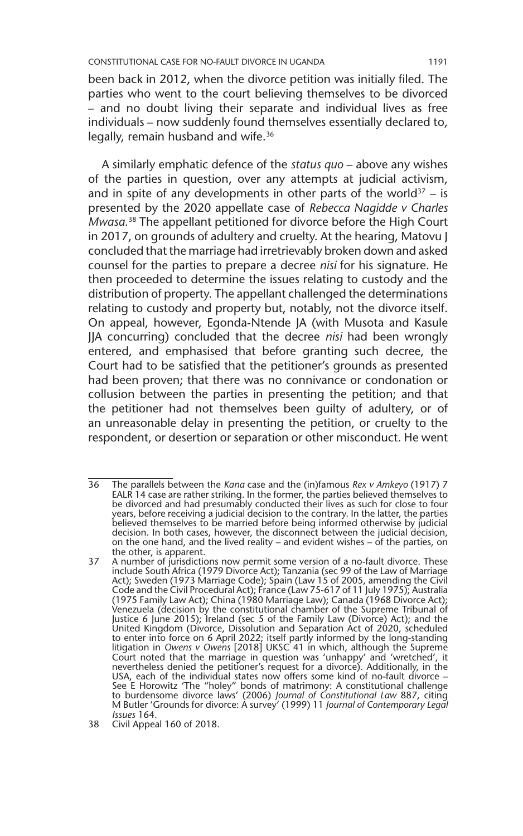been back in 2012, when the divorce petition was initially filed. The parties who went to the court believing themselves to be divorced – and no doubt living their separate and individual lives as free individuals – now suddenly found themselves essentially declared to, legally, remain husband and wife.<sup>36</sup>

A similarly emphatic defence of the *status quo* – above any wishes of the parties in question, over any attempts at judicial activism, and in spite of any developments in other parts of the world<sup>37</sup> – is presented by the 2020 appellate case of *Rebecca Nagidde v Charles Mwasa*. 38 The appellant petitioned for divorce before the High Court in 2017, on grounds of adultery and cruelty. At the hearing, Matovu J concluded that the marriage had irretrievably broken down and asked counsel for the parties to prepare a decree *nisi* for his signature. He then proceeded to determine the issues relating to custody and the distribution of property. The appellant challenged the determinations relating to custody and property but, notably, not the divorce itself. On appeal, however, Egonda-Ntende JA (with Musota and Kasule JJA concurring) concluded that the decree *nisi* had been wrongly entered, and emphasised that before granting such decree, the Court had to be satisfied that the petitioner's grounds as presented had been proven; that there was no connivance or condonation or collusion between the parties in presenting the petition; and that the petitioner had not themselves been guilty of adultery, or of an unreasonable delay in presenting the petition, or cruelty to the respondent, or desertion or separation or other misconduct. He went

<sup>36</sup> The parallels between the *Kana* case and the (in)famous *Rex v Amkeyo* (1917) 7 EALR 14 case are rather striking. In the former, the parties believed themselves to be divorced and had presumably conducted their lives as such for close to four years, before receiving a judicial decision to the contrary. In the latter, the parties believed themselves to be married before being informed otherwise by judicial decision. In both cases, however, the disconnect between the judicial decision, on the one hand, and the lived reality – and evident wishes – of the parties, on the other, is apparent.

<sup>37</sup> A number of jurisdictions now permit some version of a no-fault divorce. These include South Africa (1979 Divorce Act); Tanzania (sec 99 of the Law of Marriage Act); Sweden (1973 Marriage Code); Spain (Law 15 of 2005, amending the Civil Code and the Civil Procedural Act); France (Law 75-617 of 11 July 1975); Australia (1975 Family Law Act); China (1980 Marriage Law); Canada (1968 Divorce Act); Venezuela (decision by the constitutional chamber of the Supreme Tribunal of Justice 6 June 2015); Ireland (sec 5 of the Family Law (Divorce) Act); and the United Kingdom (Divorce, Dissolution and Separation Act of 2020, scheduled to enter into force on 6 April 2022; itself partly informed by the long-standing litigation in *Owens v Owens* [2018] UKSC 41 in which, although the Supreme Court noted that the marriage in question was 'unhappy' and 'wretched', it nevertheless denied the petitioner's request for a divorce). Additionally, in the USA, each of the individual states now offers some kind of no-fault divorce –<br>See E Horowitz 'The "holey" bonds of matrimony: A constitutional challenge<br>to burdensome divorce laws' (2006) *Journal of Constitutional Law* 88 M Butler 'Grounds for divorce: A survey' (1999) 11 *Journal of Contemporary Legal Issues* 164.

<sup>38</sup> Civil Appeal 160 of 2018.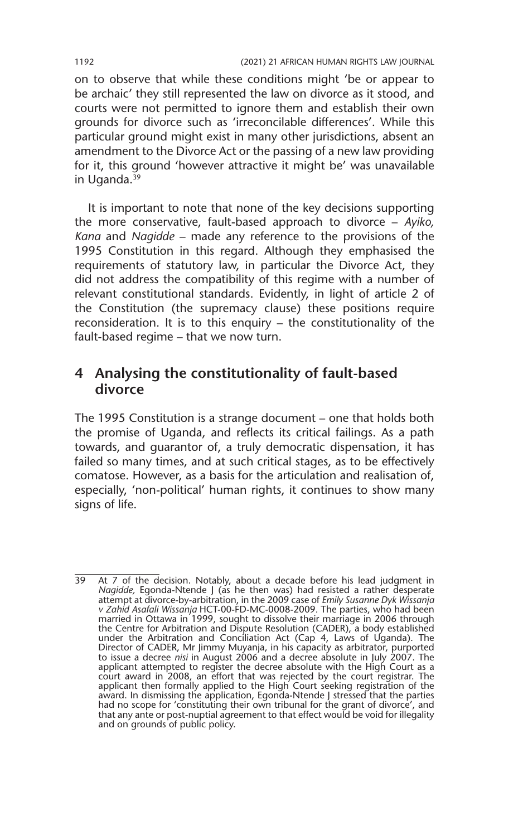on to observe that while these conditions might 'be or appear to be archaic' they still represented the law on divorce as it stood, and courts were not permitted to ignore them and establish their own grounds for divorce such as 'irreconcilable differences'. While this particular ground might exist in many other jurisdictions, absent an amendment to the Divorce Act or the passing of a new law providing for it, this ground 'however attractive it might be' was unavailable in Uganda.39

It is important to note that none of the key decisions supporting the more conservative, fault-based approach to divorce – *Ayiko, Kana* and *Nagidde* – made any reference to the provisions of the 1995 Constitution in this regard. Although they emphasised the requirements of statutory law, in particular the Divorce Act, they did not address the compatibility of this regime with a number of relevant constitutional standards. Evidently, in light of article 2 of the Constitution (the supremacy clause) these positions require reconsideration. It is to this enquiry – the constitutionality of the fault-based regime – that we now turn.

## **4 Analysing the constitutionality of fault-based divorce**

The 1995 Constitution is a strange document – one that holds both the promise of Uganda, and reflects its critical failings. As a path towards, and guarantor of, a truly democratic dispensation, it has failed so many times, and at such critical stages, as to be effectively comatose. However, as a basis for the articulation and realisation of, especially, 'non-political' human rights, it continues to show many signs of life.

<sup>39</sup> At 7 of the decision. Notably, about a decade before his lead judgment in *Nagidde,* Egonda-Ntende J (as he then was) had resisted a rather desperate attempt at divorce-by-arbitration, in the 2009 case of *Emily Susanne Dyk Wissanja v Zahid Asafali Wissanja* HCT-00-FD-MC-0008-2009*.* The parties, who had been married in Ottawa in 1999, sought to dissolve their marriage in 2006 through the Centre for Arbitration and Dispute Resolution (CADER), a body established under the Arbitration and Conciliation Act (Cap 4, Laws of Uganda). The Director of CADER, Mr Jimmy Muyanja, in his capacity as arbitrator, purported to issue a decree *nisi* in August 2006 and a decree absolute in July 2007. The applicant attempted to register the decree absolute with the High Court as a court award in 2008, an effort that was rejected by the court registrar. The<br>applicant then formally applied to the High Court seeking registration of the<br>award. In dismissing the application, Egonda-Ntende J stressed that had no scope for 'constituting their own tribunal for the grant of divorce', and that any ante or post-nuptial agreement to that effect would be void for illegality and on grounds of public policy.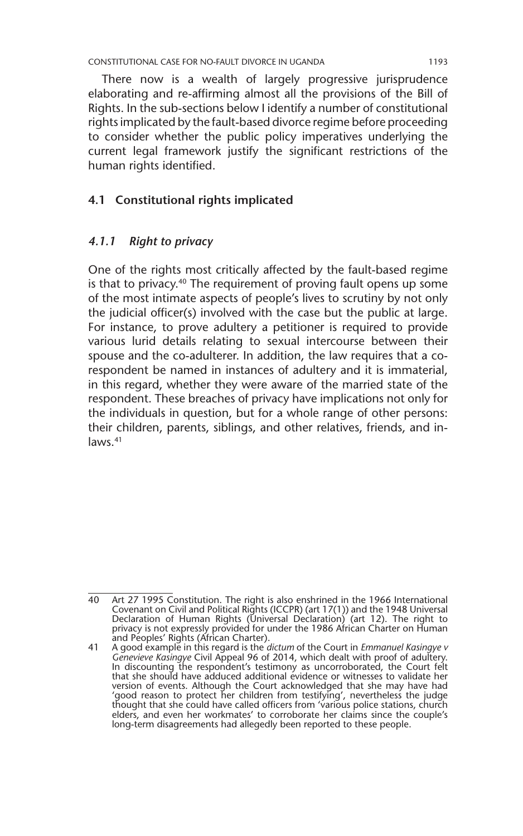There now is a wealth of largely progressive jurisprudence elaborating and re-affirming almost all the provisions of the Bill of Rights. In the sub-sections below I identify a number of constitutional rights implicated by the fault-based divorce regime before proceeding to consider whether the public policy imperatives underlying the current legal framework justify the significant restrictions of the human rights identified.

#### **4.1 Constitutional rights implicated**

#### *4.1.1 Right to privacy*

One of the rights most critically affected by the fault-based regime is that to privacy.<sup>40</sup> The requirement of proving fault opens up some of the most intimate aspects of people's lives to scrutiny by not only the judicial officer(s) involved with the case but the public at large. For instance, to prove adultery a petitioner is required to provide various lurid details relating to sexual intercourse between their spouse and the co-adulterer. In addition, the law requires that a corespondent be named in instances of adultery and it is immaterial, in this regard, whether they were aware of the married state of the respondent. These breaches of privacy have implications not only for the individuals in question, but for a whole range of other persons: their children, parents, siblings, and other relatives, friends, and inlaws.41

<sup>40</sup> Art 27 1995 Constitution. The right is also enshrined in the 1966 International Covenant on Civil and Political Rights (ICCPR) (art 17(1)) and the 1948 Universal Declaration of Human Rights (Universal Declaration) (art 12). The right to privacy is not expressly provided for under the 1986 African Charter on Human and Peoples' Rights (African Charter).

<sup>41</sup> A good example in this regard is the *dictum* of the Court in *Emmanuel Kasingye v Genevieve Kasingye* Civil Appeal 96 of 2014, which dealt with proof of adultery. In discounting the respondent's testimony as uncorroborated, the Court felt that she should have adduced additional evidence or witnesses to validate her version of events. Although the Court acknowledged that she may have had 'good reason to protect her children from testifying', nevertheless the judge thought that she could have called officers from 'various police stations, church elders, and even her workmates' to corroborate her claims since the couple's long-term disagreements had allegedly been reported to these people.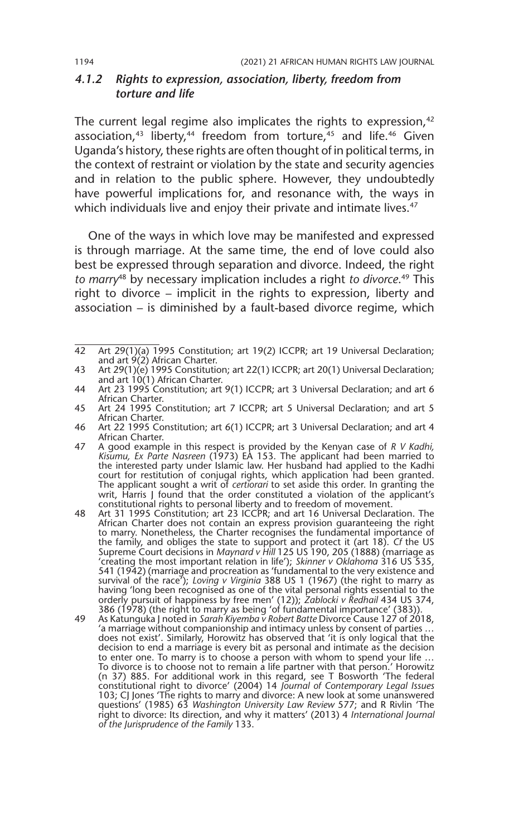#### *4.1.2 Rights to expression, association, liberty, freedom from torture and life*

The current legal regime also implicates the rights to expression,<sup>42</sup> association, $43$  liberty, $44$  freedom from torture, $45$  and life. $46$  Given Uganda's history, these rights are often thought of in political terms, in the context of restraint or violation by the state and security agencies and in relation to the public sphere. However, they undoubtedly have powerful implications for, and resonance with, the ways in which individuals live and enjoy their private and intimate lives.<sup>47</sup>

One of the ways in which love may be manifested and expressed is through marriage. At the same time, the end of love could also best be expressed through separation and divorce. Indeed, the right *to marry*48 by necessary implication includes a right *to divorce*. 49 This right to divorce – implicit in the rights to expression, liberty and association – is diminished by a fault-based divorce regime, which

<sup>42</sup> Art 29(1)(a) 1995 Constitution; art 19(2) ICCPR; art 19 Universal Declaration; and art 9(2) African Charter.

<sup>43</sup> Art 29(1)(e) 1995 Constitution; art 22(1) ICCPR; art 20(1) Universal Declaration; and art 10(1) African Charter.

<sup>44</sup> Art 23 1995 Constitution; art 9(1) ICCPR; art 3 Universal Declaration; and art 6 African Charter.

<sup>45</sup> Art 24 1995 Constitution; art 7 ICCPR; art 5 Universal Declaration; and art 5 African Charter.

<sup>46</sup> Art 22 1995 Constitution; art 6(1) ICCPR; art 3 Universal Declaration; and art 4 African Charter.

<sup>47</sup> A good example in this respect is provided by the Kenyan case of *R V Kadhi, Kisumu, Ex Parte Nasreen* (1973) EA 153. The applicant had been married to the interested party under Islamic law. Her husband had applied to the Kadhi court for restitution of conjugal rights, which application had been granted. The applicant sought a writ of *certiorari* to set aside this order. In granting the writ, Harris J found that the order constituted a violation of the applicant's constitutional rights to personal liberty and to freedom of movement.

<sup>48</sup> Art 31 1995 Constitution; art 23 ICCPR; and art 16 Universal Declaration. The African Charter does not contain an express provision guaranteeing the right to marry. Nonetheless, the Charter recognises the fundamental importance of the family, and obliges the state to support and protect it (art 18). *Cf* the US Supreme Court decisions in *Maynard v Hill* 125 US 190, 205 (1888) (marriage as 'creating the most important relation in life'); *Skinner v Oklahoma* 316 US 535, 541 (1942) (marriage and procreation as 'fundamental to the very existence and survival of the race'); *Loving v Virginia* 388 US 1 (1967) (the right to marry as having 'long been recognised as one of the vital personal rights essential to the orderly pursuit of happiness by free men' (12)); *Zablocki v Redhail* 434 US 374, 386 (1978) (the right to marry as being 'of fundamental importance' (383)).

<sup>49</sup> As Katunguka J noted in *Sarah Kiyemba v Robert Batte* Divorce Cause 127 of 2018, 'a marriage without companionship and intimacy unless by consent of parties … does not exist'. Similarly, Horowitz has observed that 'it is only logical that the decision to end a marriage is every bit as personal and intimate as the decision to enter one. To marry is to choose a person with whom to spend your life ... To divorce is to choose not to remain a life partner with that person.' Horowitz (n 37) 885. For additional work in this regard, see T Bosworth 'The federal<br>constitutional right to divorce' (2004) 14 *Journal of Contemporary Legal Issues*<br>103; CJ Jones 'The rights to marry and divorce: A new look at so questions' (1985) 63 *Washington University Law Review* 577; and R Rivlin 'The right to divorce: Its direction, and why it matters' (2013) 4 *International Journal of the Jurisprudence of the Family* 133.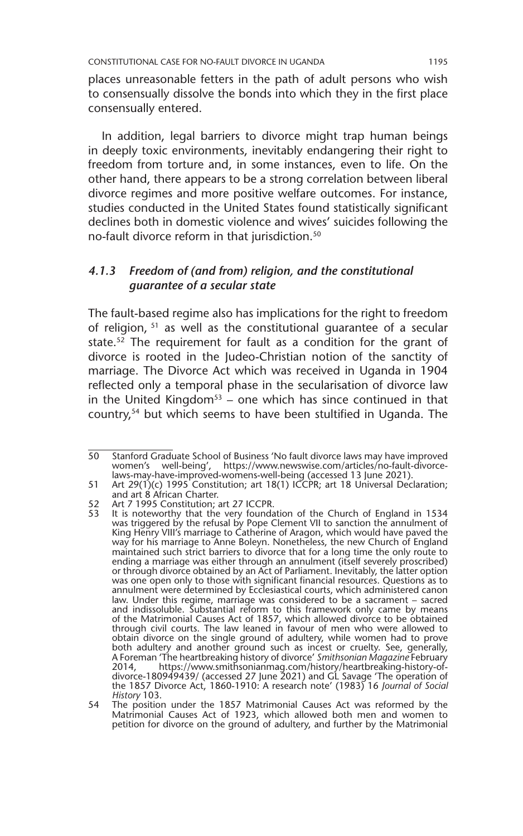places unreasonable fetters in the path of adult persons who wish to consensually dissolve the bonds into which they in the first place consensually entered.

In addition, legal barriers to divorce might trap human beings in deeply toxic environments, inevitably endangering their right to freedom from torture and, in some instances, even to life. On the other hand, there appears to be a strong correlation between liberal divorce regimes and more positive welfare outcomes. For instance, studies conducted in the United States found statistically significant declines both in domestic violence and wives' suicides following the no-fault divorce reform in that jurisdiction.50

#### *4.1.3 Freedom of (and from) religion, and the constitutional guarantee of a secular state*

The fault-based regime also has implications for the right to freedom of religion, 51 as well as the constitutional guarantee of a secular state.<sup>52</sup> The requirement for fault as a condition for the grant of divorce is rooted in the Judeo-Christian notion of the sanctity of marriage. The Divorce Act which was received in Uganda in 1904 reflected only a temporal phase in the secularisation of divorce law in the United Kingdom<sup>53</sup> – one which has since continued in that country,54 but which seems to have been stultified in Uganda. The

<sup>50</sup> Stanford Graduate School of Business 'No fault divorce laws may have improved women's well-being', https://www.newswise.com/articles/no-fault-divorcelaws-may-have-improved-womens-well-being (accessed 13 June 2021).

<sup>51</sup> Art 29(1)(c) 1995 Constitution; art 18(1) ICCPR; art 18 Universal Declaration; and art 8 African Charter.

<sup>52</sup> Art 7 1995 Constitution; art 27 ICCPR.

<sup>53</sup> It is noteworthy that the very foundation of the Church of England in 1534 was triggered by the refusal by Pope Clement VII to sanction the annulment of King Henry VIII's marriage to Catherine of Aragon, which would have paved the way for his marriage to Anne Boleyn. Nonetheless, the new Church of England maintained such strict barriers to divorce that for a long time the only route to ending a marriage was either through an annulment (itself severely proscribed) or through divorce obtained by an Act of Parliament. Inevitably, the latter option was one open only to those with significant financial resources. Questions as to annulment were determined by Ecclesiastical courts, which administered canon law. Under this regime, marriage was considered to be a sacrament – sacred and indissoluble. Substantial reform to this framework only came by means of the Matrimonial Causes Act of 1857, which allowed divorce to be obtained through civil courts. The law leaned in favour of men who were allowed to obtain divorce on the single ground of adultery, while women had to prove both adultery and another ground such as incest or cruelty. See, generally, A Foreman 'The heartbreaking history of divorce' *Smithsonian Magazine* February 2014, https://www.smithsonianmag.com/history/heartbreaking-history-ofdivorce-180949439/ (accessed 27 June 2021) and GL Savage 'The operation of the 1857 Divorce Act, 1860-1910: A research note' (1983) 16 *Journal of Social History* 103.

<sup>54</sup> The position under the 1857 Matrimonial Causes Act was reformed by the Matrimonial Causes Act of 1923, which allowed both men and women to petition for divorce on the ground of adultery, and further by the Matrimonial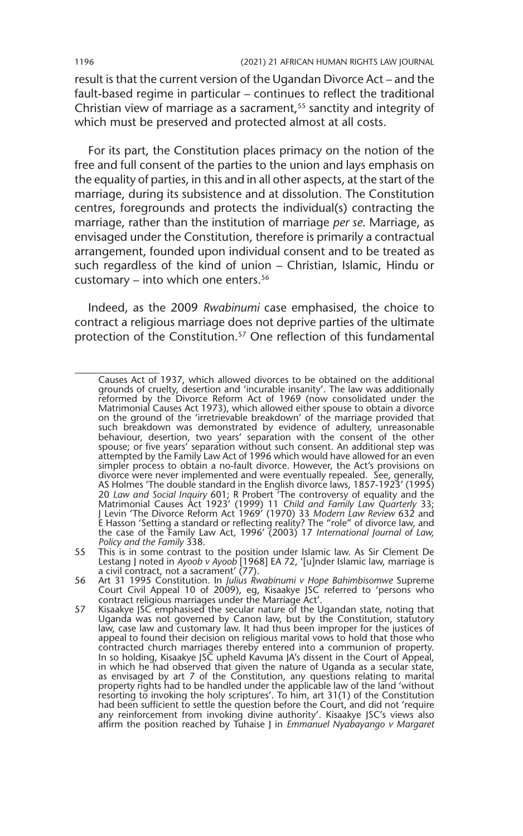result is that the current version of the Ugandan Divorce Act – and the fault-based regime in particular – continues to reflect the traditional Christian view of marriage as a sacrament,<sup>55</sup> sanctity and integrity of which must be preserved and protected almost at all costs.

For its part, the Constitution places primacy on the notion of the free and full consent of the parties to the union and lays emphasis on the equality of parties, in this and in all other aspects, at the start of the marriage, during its subsistence and at dissolution. The Constitution centres, foregrounds and protects the individual(s) contracting the marriage, rather than the institution of marriage *per se*. Marriage, as envisaged under the Constitution, therefore is primarily a contractual arrangement, founded upon individual consent and to be treated as such regardless of the kind of union – Christian, Islamic, Hindu or customary – into which one enters.<sup>56</sup>

Indeed, as the 2009 *Rwabinumi* case emphasised, the choice to contract a religious marriage does not deprive parties of the ultimate protection of the Constitution.<sup>57</sup> One reflection of this fundamental

Causes Act of 1937, which allowed divorces to be obtained on the additional grounds of cruelty, desertion and 'incurable insanity'. The law was additionally reformed by the Divorce Reform Act of 1969 (now consolidated under the Matrimonial Causes Act 1973), which allowed either spouse to obtain a divorce on the ground of the 'irretrievable breakdown' of the marriage provided that such breakdown was demonstrated by evidence of adultery, unreasonable behaviour, desertion, two years' separation with the consent of the other spouse; or five years' separation without such consent. An additional step was attempted by the Family Law Act of 1996 which would have allowed for an even simpler process to obtain a no-fault divorce. However, the Act's provisions on divorce were never implemented and were eventually repealed. See, generally, AS Holmes 'The double standard in the English divorce laws, 1857-1923' (1995) 20 *Law and Social Inquiry* 601; R Probert 'The controversy of equality and the Matrimonial Causes Act 1923' (1999) 11 *Child and Family Law Quarterly* 33; J Levin 'The Divorce Reform Act 1969' (1970) 33 *Modern Law Review* 632 and E Hasson 'Setting a standard or reflecting reality? The "role" of divorce law, and the case of the Family Law Act, 1996' (2003) 17 *International Journal of Law, Policy and the Family* 338.

<sup>55</sup> This is in some contrast to the position under Islamic law. As Sir Clement De Lestang J noted in *Ayoob v Ayoob* [1968] EA 72, '[u]nder Islamic law, marriage is a civil contract, not a sacrament' (77).

<sup>56</sup> Art 31 1995 Constitution. In *Julius Rwabinumi v Hope Bahimbisomwe* Supreme Court Civil Appeal 10 of 2009), eg, Kisaakye JSC referred to 'persons who contract religious marriages under the Marriage Act'.

<sup>57</sup> Kisaakye JSC emphasised the secular nature of the Ugandan state, noting that Uganda was not governed by Canon law, but by the Constitution, statutory law, case law and customary law. It had thus been improper for the justices of appeal to found their decision on religious marital vows to hold that those who contracted church marriages thereby entered into a communion of property. In so holding, Kisaakye JSC upheld Kavuma JA's dissent in the Court of Appeal, in which he had observed that given the nature of Uganda as a secular state, as envisaged by art 7 of the Constitution, any questions relating to marital<br>property rights had to be handled under the applicable law of the land 'without<br>resorting to invoking the holy scriptures'. To him, art 31(1) of had been sufficient to settle the question before the Court, and did not 'require any reinforcement from invoking divine authority'. Kisaakye JSC's views also affirm the position reached by Tuhaise J in *Emmanuel Nyabayango v Margaret*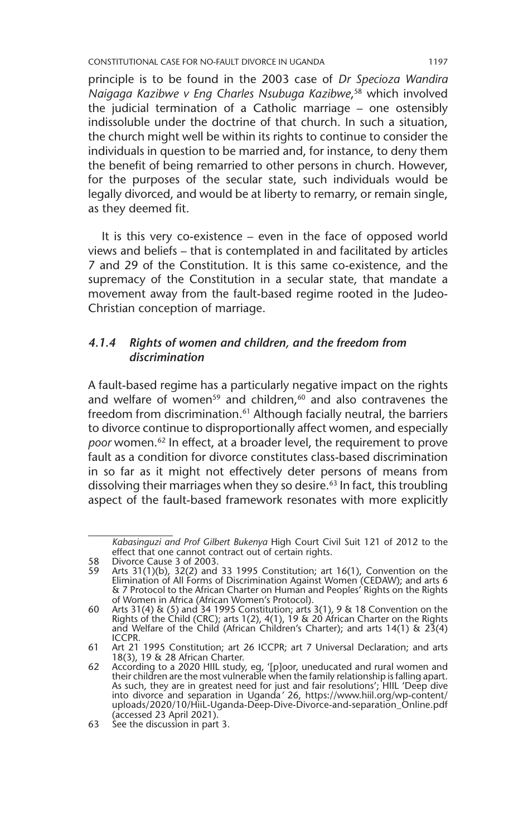CONSTITUTIONAL CASE FOR NO-FAULT DIVORCE IN UGANDA 1197

principle is to be found in the 2003 case of *Dr Specioza Wandira Naigaga Kazibwe v Eng Charles Nsubuga Kazibwe*, 58 which involved the judicial termination of a Catholic marriage – one ostensibly indissoluble under the doctrine of that church. In such a situation, the church might well be within its rights to continue to consider the individuals in question to be married and, for instance, to deny them the benefit of being remarried to other persons in church. However, for the purposes of the secular state, such individuals would be legally divorced, and would be at liberty to remarry, or remain single, as they deemed fit.

It is this very co-existence – even in the face of opposed world views and beliefs – that is contemplated in and facilitated by articles 7 and 29 of the Constitution. It is this same co-existence, and the supremacy of the Constitution in a secular state, that mandate a movement away from the fault-based regime rooted in the Judeo-Christian conception of marriage.

#### *4.1.4 Rights of women and children, and the freedom from discrimination*

A fault-based regime has a particularly negative impact on the rights and welfare of women<sup>59</sup> and children, $60$  and also contravenes the freedom from discrimination.<sup>61</sup> Although facially neutral, the barriers to divorce continue to disproportionally affect women, and especially *poor* women.62 In effect, at a broader level, the requirement to prove fault as a condition for divorce constitutes class-based discrimination in so far as it might not effectively deter persons of means from dissolving their marriages when they so desire.<sup>63</sup> In fact, this troubling aspect of the fault-based framework resonates with more explicitly

*Kabasinguzi and Prof Gilbert Bukenya* High Court Civil Suit 121 of 2012 to the effect that one cannot contract out of certain rights.

<sup>58</sup> Divorce Cause 3 of 2003.<br>59 Arts 31(1)(b) 32(2) and

<sup>59</sup> Arts 31(1)(b), 32(2) and 33 1995 Constitution; art 16(1), Convention on the Elimination of All Forms of Discrimination Against Women (CEDAW); and arts 6 & 7 Protocol to the African Charter on Human and Peoples' Rights on the Rights of Women in Africa (African Women's Protocol).

<sup>60</sup> Arts 31(4) & (5) and 34 1995 Constitution; arts 3(1), 9 & 18 Convention on the Rights of the Child (CRC); arts 1(2), 4(1), 19 & 20 African Charter on the Rights and Welfare of the Child (African Children's Charter); and arts 14(1) & 23(4) ICCPR.

<sup>61</sup> Art 21 1995 Constitution; art 26 ICCPR; art 7 Universal Declaration; and arts 18(3), 19 & 28 African Charter.

<sup>62</sup> According to a 2020 HIIL study, eg, '[p]oor, uneducated and rural women and their children are the most vulnerable when the family relationship is falling apart.<br>As such, they are in greatest need for just and fair resolutions'; HIIL 'Deep dive<br>into divorce and separation in Uganda' 26, https://ww uploads/2020/10/HiiL-Uganda-Deep-Dive-Divorce-and-separation\_Online.pdf (accessed 23 April 2021).

<sup>63</sup> See the discussion in part 3.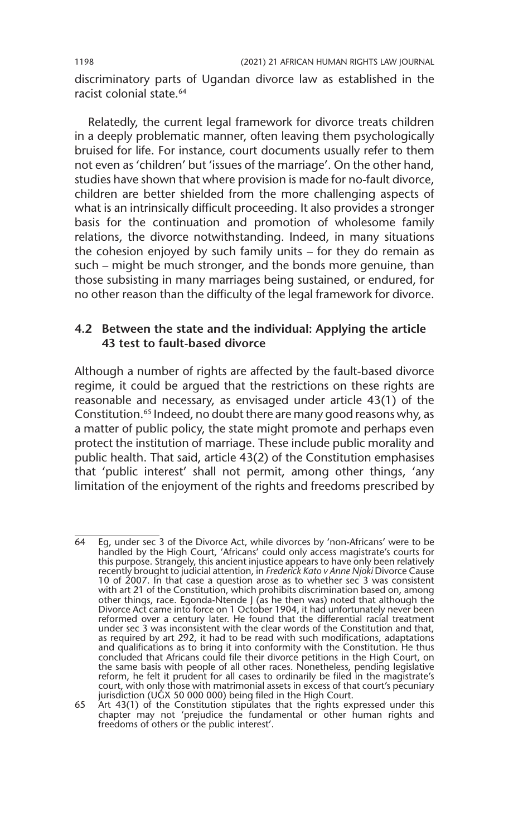discriminatory parts of Ugandan divorce law as established in the racist colonial state.<sup>64</sup>

Relatedly, the current legal framework for divorce treats children in a deeply problematic manner, often leaving them psychologically bruised for life. For instance, court documents usually refer to them not even as 'children' but 'issues of the marriage'. On the other hand, studies have shown that where provision is made for no-fault divorce, children are better shielded from the more challenging aspects of what is an intrinsically difficult proceeding. It also provides a stronger basis for the continuation and promotion of wholesome family relations, the divorce notwithstanding. Indeed, in many situations the cohesion enjoyed by such family units – for they do remain as such – might be much stronger, and the bonds more genuine, than those subsisting in many marriages being sustained, or endured, for no other reason than the difficulty of the legal framework for divorce.

#### **4.2 Between the state and the individual: Applying the article 43 test to fault-based divorce**

Although a number of rights are affected by the fault-based divorce regime, it could be argued that the restrictions on these rights are reasonable and necessary, as envisaged under article 43(1) of the Constitution.<sup>65</sup> Indeed, no doubt there are many good reasons why, as a matter of public policy, the state might promote and perhaps even protect the institution of marriage. These include public morality and public health. That said, article 43(2) of the Constitution emphasises that 'public interest' shall not permit, among other things, 'any limitation of the enjoyment of the rights and freedoms prescribed by

 $\overline{64}$  Eg, under sec 3 of the Divorce Act, while divorces by 'non-Africans' were to be handled by the High Court, 'Africans' could only access magistrate's courts for this purpose. Strangely, this ancient injustice appears to have only been relatively recently brought to judicial attention, in *Frederick Kato v Anne Njoki* Divorce Cause 10 of 2007. In that case a question arose as to whether sec 3 was consistent with art 21 of the Constitution, which prohibits discrimination based on, among other things, race. Egonda-Ntende J (as he then was) noted that although the Divorce Act came into force on 1 October 1904, it had unfortunately never been reformed over a century later. He found that the differential racial treatment under sec 3 was inconsistent with the clear words of the Constitution and that, as required by art 292, it had to be read with such modifications, adaptations and qualifications as to bring it into conformity with the Constitution. He thus concluded that Africans could file their divorce petitions in the High Court, on the same basis with people of all other races. Nonetheless, pending legislative reform, he felt it prudent for all cases to ordinarily be filed in the magistrate's court, with only those with matrimonial assets in excess of that court's pecuniary jurisdiction (UGX 50 000 000) being filed in the High Court.

<sup>65</sup> Art 43(1) of the Constitution stipulates that the rights expressed under this chapter may not 'prejudice the fundamental or other human rights and freedoms of others or the public interest'.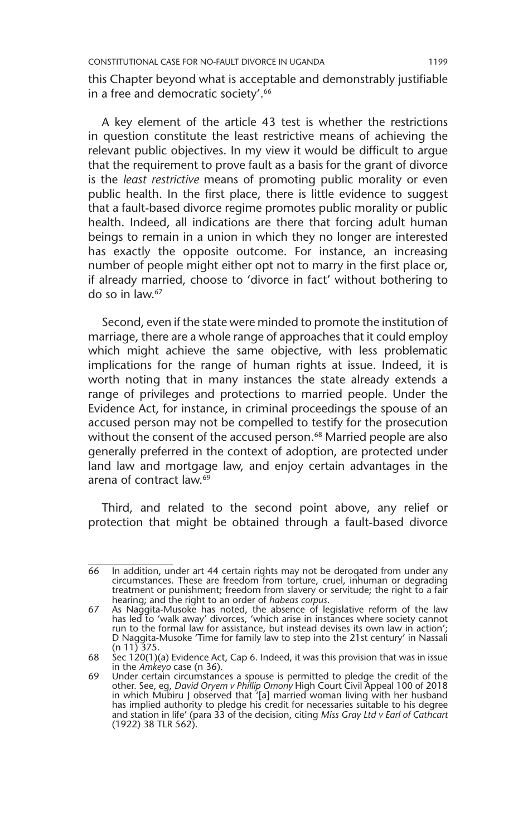this Chapter beyond what is acceptable and demonstrably justifiable in a free and democratic society'.<sup>66</sup>

A key element of the article 43 test is whether the restrictions in question constitute the least restrictive means of achieving the relevant public objectives. In my view it would be difficult to argue that the requirement to prove fault as a basis for the grant of divorce is the *least restrictive* means of promoting public morality or even public health. In the first place, there is little evidence to suggest that a fault-based divorce regime promotes public morality or public health. Indeed, all indications are there that forcing adult human beings to remain in a union in which they no longer are interested has exactly the opposite outcome. For instance, an increasing number of people might either opt not to marry in the first place or, if already married, choose to 'divorce in fact' without bothering to do so in law.67

Second, even if the state were minded to promote the institution of marriage, there are a whole range of approaches that it could employ which might achieve the same objective, with less problematic implications for the range of human rights at issue. Indeed, it is worth noting that in many instances the state already extends a range of privileges and protections to married people. Under the Evidence Act, for instance, in criminal proceedings the spouse of an accused person may not be compelled to testify for the prosecution without the consent of the accused person.<sup>68</sup> Married people are also generally preferred in the context of adoption, are protected under land law and mortgage law, and enjoy certain advantages in the arena of contract law.<sup>69</sup>

Third, and related to the second point above, any relief or protection that might be obtained through a fault-based divorce

<sup>66</sup> In addition, under art 44 certain rights may not be derogated from under any circumstances. These are freedom from torture, cruel, inhuman or degrading treatment or punishment; freedom from slavery or servitude; the right to a fair hearing; and the right to an order of *habeas corpus*.

<sup>67</sup> As Naggita-Musoke has noted, the absence of legislative reform of the law has led to 'walk away' divorces, 'which arise in instances where society cannot run to the formal law for assistance, but instead devises its own law in action'; D Naggita-Musoke 'Time for family law to step into the 21st century' in Nassali (n 11) 375.

<sup>68</sup> Sec  $120(1)(a)$  Evidence Act, Cap 6. Indeed, it was this provision that was in issue in the *Amkeyo* case (n 36).

<sup>69</sup> Under certain circumstances a spouse is permitted to pledge the credit of the other. See, eg, *David Oryem v Phillip Omony* High Court Civil Appeal 100 of 2018 in which Mubiru J observed that '[a] married woman living w has implied authority to pledge his credit for necessaries suitable to his degree and station in life' (para 33 of the decision, citing *Miss Gray Ltd v Earl of Cathcart* (1922) 38 TLR 562).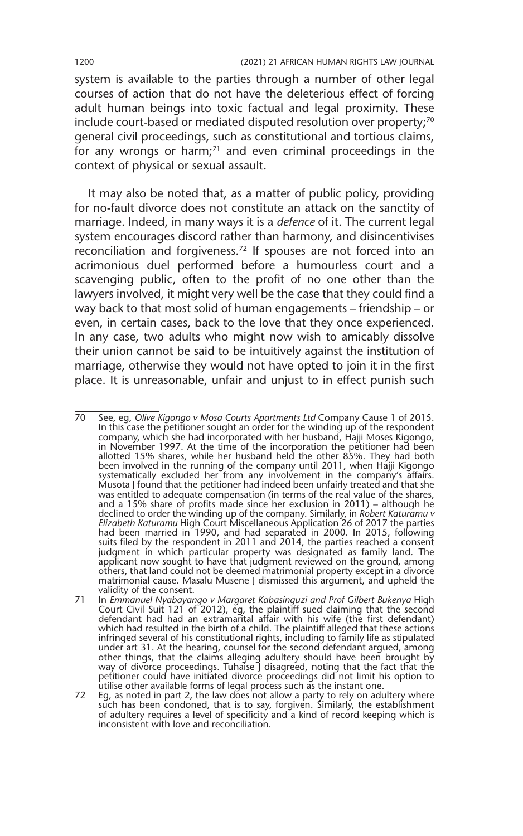system is available to the parties through a number of other legal courses of action that do not have the deleterious effect of forcing adult human beings into toxic factual and legal proximity. These include court-based or mediated disputed resolution over property;<sup>70</sup> general civil proceedings, such as constitutional and tortious claims, for any wrongs or harm; $71$  and even criminal proceedings in the context of physical or sexual assault.

It may also be noted that, as a matter of public policy, providing for no-fault divorce does not constitute an attack on the sanctity of marriage. Indeed, in many ways it is a *defence* of it. The current legal system encourages discord rather than harmony, and disincentivises reconciliation and forgiveness.72 If spouses are not forced into an acrimonious duel performed before a humourless court and a scavenging public, often to the profit of no one other than the lawyers involved, it might very well be the case that they could find a way back to that most solid of human engagements – friendship – or even, in certain cases, back to the love that they once experienced. In any case, two adults who might now wish to amicably dissolve their union cannot be said to be intuitively against the institution of marriage, otherwise they would not have opted to join it in the first place. It is unreasonable, unfair and unjust to in effect punish such

<sup>70</sup> See, eg, *Olive Kigongo v Mosa Courts Apartments Ltd* Company Cause 1 of 2015. In this case the petitioner sought an order for the winding up of the respondent company, which she had incorporated with her husband, Hajji Moses Kigongo, in November 1997. At the time of the incorporation the petitioner had been allotted 15% shares, while her husband held the other 85%. They had both been involved in the running of the company until 2011, when Hajji Kigongo systematically excluded her from any involvement in the company's affairs. Musota J found that the petitioner had indeed been unfairly treated and that she was entitled to adequate compensation (in terms of the real value of the shares, and a 15% share of profits made since her exclusion in 2011) – although he declined to order the winding up of the company. Similarly, in *Robert Katuramu v Elizabeth Katuramu* High Court Miscellaneous Application 26 of 2017 the parties had been married in 1990, and had separated in 2000. In 2015, following suits filed by the respondent in 2011 and 2014, the parties reached a consent judgment in which particular property was designated as family land. The applicant now sought to have that judgment reviewed on the ground, among others, that land could not be deemed matrimonial property except in a divorce matrimonial cause. Masalu Musene J dismissed this argument, and upheld the validity of the consent.

<sup>71</sup> In *Emmanuel Nyabayango v Margaret Kabasinguzi and Prof Gilbert Bukenya* High Court Civil Suit 121 of 2012), eg, the plaintiff sued claiming that the second defendant had had an extramarital affair with his wife (the first defendant) which had resulted in the birth of a child. The plaintiff alleged that these actions infringed several of his constitutional rights, including to family life as stipulated under art 31. At the hearing, counsel for the second defendant argued, among other things, that the claims alleging adultery should have been brought by way of divorce proceedings. Tuhaise J disagreed, noting that the fact that the petitioner could have initiated divorce proceedings did not limit his option to<br>utilise other available forms of legal process such as the instant one.<br>72 Eg, as noted in part 2, the law does not allow a party to rely on a

such has been condoned, that is to say, forgiven. Similarly, the establishment of adultery requires a level of specificity and a kind of record keeping which is inconsistent with love and reconciliation.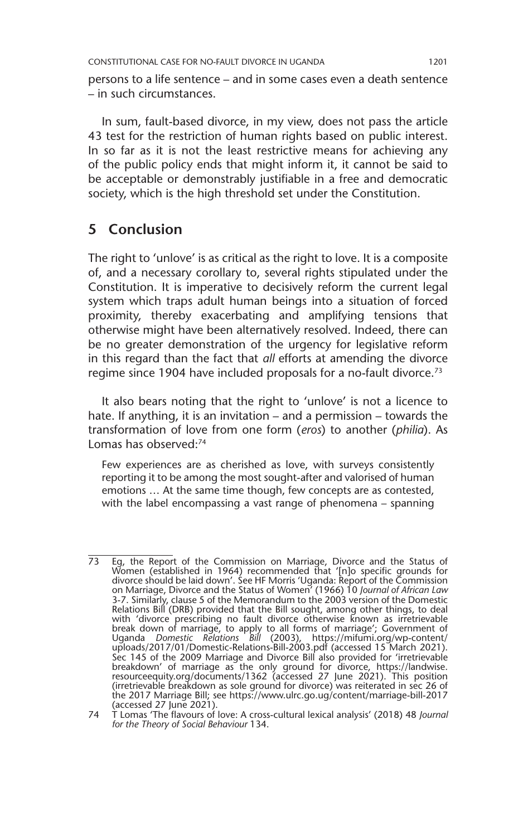persons to a life sentence – and in some cases even a death sentence – in such circumstances.

In sum, fault-based divorce, in my view, does not pass the article 43 test for the restriction of human rights based on public interest. In so far as it is not the least restrictive means for achieving any of the public policy ends that might inform it, it cannot be said to be acceptable or demonstrably justifiable in a free and democratic society, which is the high threshold set under the Constitution.

#### **5 Conclusion**

The right to 'unlove' is as critical as the right to love. It is a composite of, and a necessary corollary to, several rights stipulated under the Constitution. It is imperative to decisively reform the current legal system which traps adult human beings into a situation of forced proximity, thereby exacerbating and amplifying tensions that otherwise might have been alternatively resolved. Indeed, there can be no greater demonstration of the urgency for legislative reform in this regard than the fact that *all* efforts at amending the divorce regime since 1904 have included proposals for a no-fault divorce.<sup>73</sup>

It also bears noting that the right to 'unlove' is not a licence to hate. If anything, it is an invitation – and a permission – towards the transformation of love from one form (*eros*) to another (*philia*). As Lomas has observed:74

Few experiences are as cherished as love, with surveys consistently reporting it to be among the most sought-after and valorised of human emotions … At the same time though, few concepts are as contested, with the label encompassing a vast range of phenomena – spanning

<sup>73</sup> Eg, the Report of the Commission on Marriage, Divorce and the Status of Women (established in 1964) recommended that '[n]o specific grounds for divorce should be laid down'. See HF Morris 'Uganda: Report of the Commission on Marriage, Divorce and the Status of Women' (1966) 10 *Journal of African Law* 3-7. Similarly, clause 5 of the Memorandum to the 2003 version of the Domestic Relations Bill (DRB) provided that the Bill sought, among other things, to deal with 'divorce prescribing no fault divorce otherwise known as irretrievable break down of marriage, to apply to all forms of marriage'; Government of Uganda *Domestic Relations Bill* (2003), https://mifumi.org/wp-content/ uploads/2017/01/Domestic-Relations-Bill-2003.pdf (accessed 15 March 2021). Sec 145 of the 2009 Marriage and Divorce Bill also provided for 'irretrievable breakdown' of marriage as the only ground for divorce, https://landwise. resourceequity.org/documents/1362 (accessed 27 June 2021). This position (irretrievable breakdown as sole ground for divorce) was reiterated in sec 26 of the 2017 Marriage Bill; see https://www.ulrc.go.ug/content/marriage-bill-2017 (accessed 27 June 2021).

<sup>74</sup> T Lomas 'The flavours of love: A cross-cultural lexical analysis' (2018) 48 *Journal for the Theory of Social Behaviour* 134.